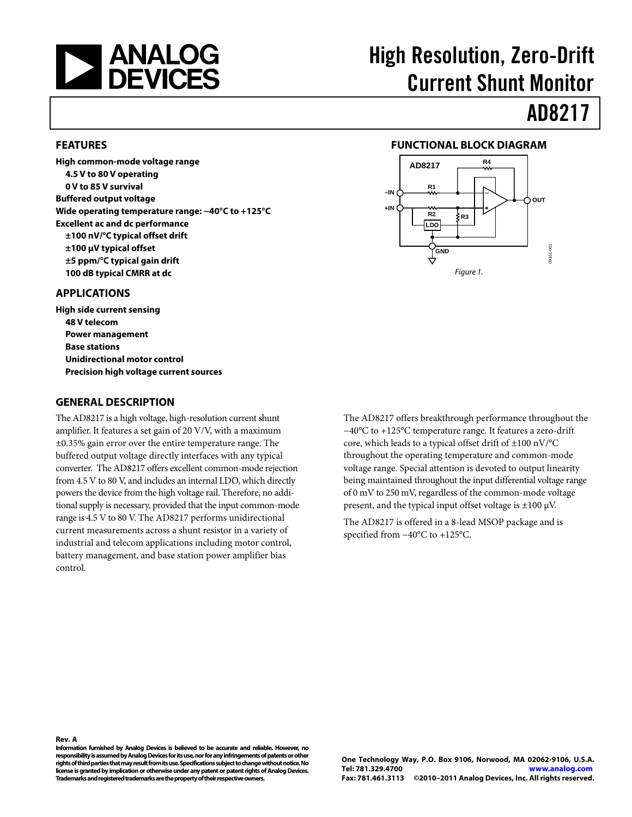<span id="page-0-0"></span>

# High Resolution, Zero-Drift Current Shunt Monitor

**FUNCTIONAL BLOCK DIAGRAM** 

**R3**

Figure 1.

**LDO R2**

**GND**

**R1**

**+IN**

**–IN**

**AD8217 R4**

# AD8217

**OUT**

09161-001

100-1916

#### **FEATURES**

**High common-mode voltage range 4.5 V to 80 V operating 0 V to 85 V survival Buffered output voltage Wide operating temperature range: −40°C to +125°C Excellent ac and dc performance ±100 nV/°C typical offset drift ±100 μV typical offset ±5 ppm/°C typical gain drift 100 dB typical CMRR at dc** 

#### **APPLICATIONS**

**High side current sensing 48 V telecom Power management Base stations Unidirectional motor control Precision high voltage current sources** 

#### **GENERAL DESCRIPTION**

The AD8217 is a high voltage, high-resolution current shunt amplifier. It features a set gain of 20 V/V, with a maximum ±0.35% gain error over the entire temperature range. The buffered output voltage directly interfaces with any typical converter. The AD8217 offers excellent common-mode rejection from 4.5 V to 80 V, and includes an internal LDO, which directly powers the device from the high voltage rail. Therefore, no additional supply is necessary, provided that the input common-mode range is 4.5 V to 80 V. The AD8217 performs unidirectional current measurements across a shunt resistor in a variety of industrial and telecom applications including motor control, battery management, and base station power amplifier bias control.

The AD8217 offers breakthrough performance throughout the −40°C to +125°C temperature range. It features a zero-drift core, which leads to a typical offset drift of ±100 nV/°C throughout the operating temperature and common-mode voltage range. Special attention is devoted to output linearity being maintained throughout the input differential voltage range of 0 mV to 250 mV, regardless of the common-mode voltage present, and the typical input offset voltage is  $\pm 100 \mu V$ .

The AD8217 is offered in a 8-lead MSOP package and is specified from −40°C to +125°C.

#### **Rev. A**

**Information furnished by Analog Devices is believed to be accurate and reliable. However, no responsibility is assumed by Analog Devices for its use, nor for any infringements of patents or other rights of third parties that may result from its use. Specifications subject to change without notice. No license is granted by implication or otherwise under any patent or patent rights of Analog Devices. Trademarks and registered trademarks are the property of their respective owners.**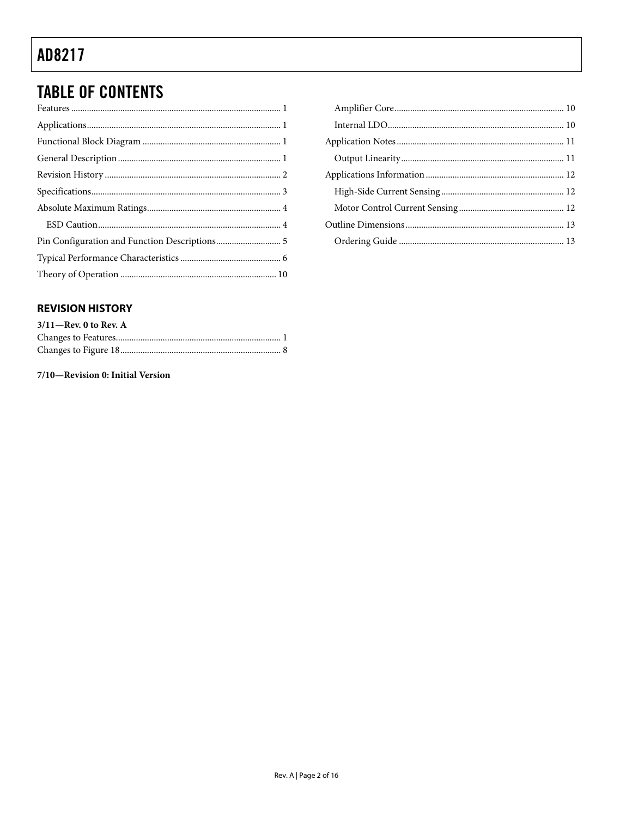### <span id="page-1-0"></span>**TABLE OF CONTENTS**

| ${\bf Features}\, \, {1} \label{eq:21}$ |  |
|-----------------------------------------|--|
|                                         |  |
|                                         |  |
|                                         |  |
|                                         |  |
|                                         |  |
|                                         |  |
|                                         |  |
|                                         |  |
|                                         |  |
|                                         |  |
|                                         |  |

#### **REVISION HISTORY**

| $3/11$ -Rev. 0 to Rev. A |  |
|--------------------------|--|
|                          |  |
|                          |  |

7/10-Revision 0: Initial Version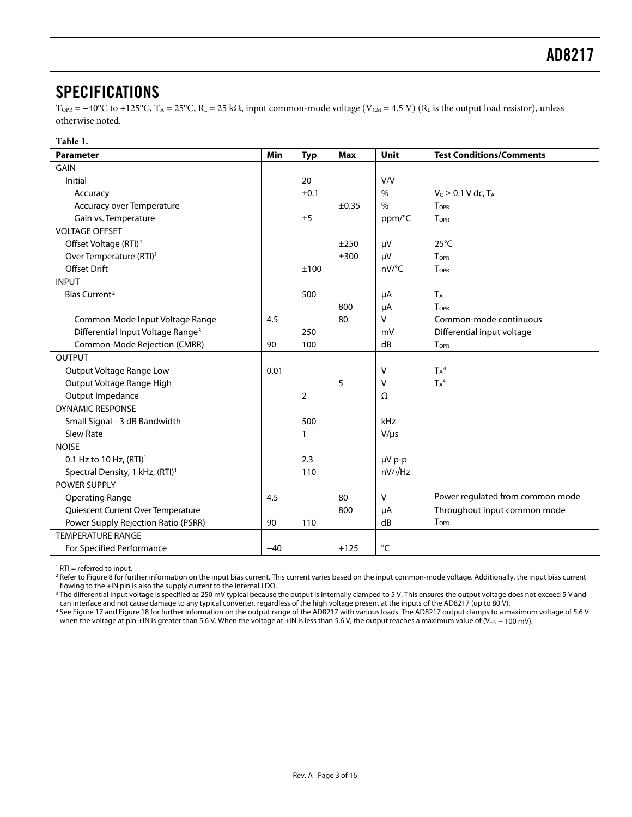#### <span id="page-2-0"></span>SPECIFICATIONS

 $T_{\text{OPR}} = -40^{\circ}\text{C}$  to +125°C,  $T_A = 25^{\circ}\text{C}$ ,  $R_L = 25 \text{ k}\Omega$ , input common-mode voltage (V<sub>CM</sub> = 4.5 V) ( $R_L$  is the output load resistor), unless otherwise noted.

#### **Table 1.**

<span id="page-2-1"></span>

| <b>Parameter</b>                              | Min   | <b>Typ</b>     | <b>Max</b> | Unit          | <b>Test Conditions/Comments</b>    |  |
|-----------------------------------------------|-------|----------------|------------|---------------|------------------------------------|--|
| GAIN                                          |       |                |            |               |                                    |  |
| Initial                                       |       | 20             |            | V/V           |                                    |  |
| Accuracy                                      |       | ±0.1           |            | $\%$          | $V0 \geq 0.1 V$ dc, T <sub>A</sub> |  |
| Accuracy over Temperature                     |       |                | $\pm 0.35$ | $\frac{0}{0}$ | TOPR                               |  |
| Gain vs. Temperature                          |       | ±5             |            | ppm/°C        | TOPR                               |  |
| <b>VOLTAGE OFFSET</b>                         |       |                |            |               |                                    |  |
| Offset Voltage (RTI) <sup>1</sup>             |       |                | ±250       | μV            | $25^{\circ}$ C                     |  |
| Over Temperature (RTI) <sup>1</sup>           |       |                | ±300       | μV            | TOPR                               |  |
| Offset Drift                                  |       | ±100           |            | nV/°C         | TOPR                               |  |
| <b>INPUT</b>                                  |       |                |            |               |                                    |  |
| Bias Current <sup>2</sup>                     |       | 500            |            | μA            | TA                                 |  |
|                                               |       |                | 800        | μA            | TOPR                               |  |
| Common-Mode Input Voltage Range               | 4.5   |                | 80         | ٧             | Common-mode continuous             |  |
| Differential Input Voltage Range <sup>3</sup> |       | 250            |            | mV            | Differential input voltage         |  |
| Common-Mode Rejection (CMRR)                  | 90    | 100            |            | dB            | <b>TOPR</b>                        |  |
| <b>OUTPUT</b>                                 |       |                |            |               |                                    |  |
| Output Voltage Range Low                      | 0.01  |                |            | v             | $T_A^4$                            |  |
| Output Voltage Range High                     |       |                | 5          | v             | $T_A^4$                            |  |
| Output Impedance                              |       | $\overline{2}$ |            | $\Omega$      |                                    |  |
| <b>DYNAMIC RESPONSE</b>                       |       |                |            |               |                                    |  |
| Small Signal -3 dB Bandwidth                  |       | 500            |            | kHz           |                                    |  |
| Slew Rate                                     |       | 1              |            | $V/\mu s$     |                                    |  |
| <b>NOISE</b>                                  |       |                |            |               |                                    |  |
| 0.1 Hz to 10 Hz, $(RTI)^1$                    |       | 2.3            |            | µV p-p        |                                    |  |
| Spectral Density, 1 kHz, (RTI) <sup>1</sup>   |       | 110            |            | nV/√Hz        |                                    |  |
| POWER SUPPLY                                  |       |                |            |               |                                    |  |
| <b>Operating Range</b>                        | 4.5   |                | 80         | v             | Power regulated from common mode   |  |
| Quiescent Current Over Temperature            |       |                | 800        | μA            | Throughout input common mode       |  |
| Power Supply Rejection Ratio (PSRR)           | 90    | 110            |            | dB            | <b>TOPR</b>                        |  |
| <b>TEMPERATURE RANGE</b>                      |       |                |            |               |                                    |  |
| For Specified Performance                     | $-40$ |                | $+125$     | °C            |                                    |  |

<span id="page-2-2"></span>1 RTI = referred to input.

 $^2$  Refer to Figure 8 [f](#page-5-1)or further information on the input bias current. This current varies based on the input common-mode voltage. Additionally, the input bias current

flowing to the +IN pin is also the supply current to the internal LDO.<br>∃The differential input voltage is specified as 250 mV typical because the output is internally clamped to 5 V. This ensures the output voltage does n can interface and not cause damage to any typical converter, regardless of the high voltage present at the inputs of the AD8217 (up to 80 V).

See Figure 17 and Figure 18 for further information on the output range of the AD8217 with various loads. The AD8217 output clamps to a maximum voltage of 5.6 V when the voltage at pin +IN is greater than 5.6 V. When the voltage at +IN is less than 5.6 V, the output reaches a maximum value of (V<sub>+IN</sub> − 100 mV).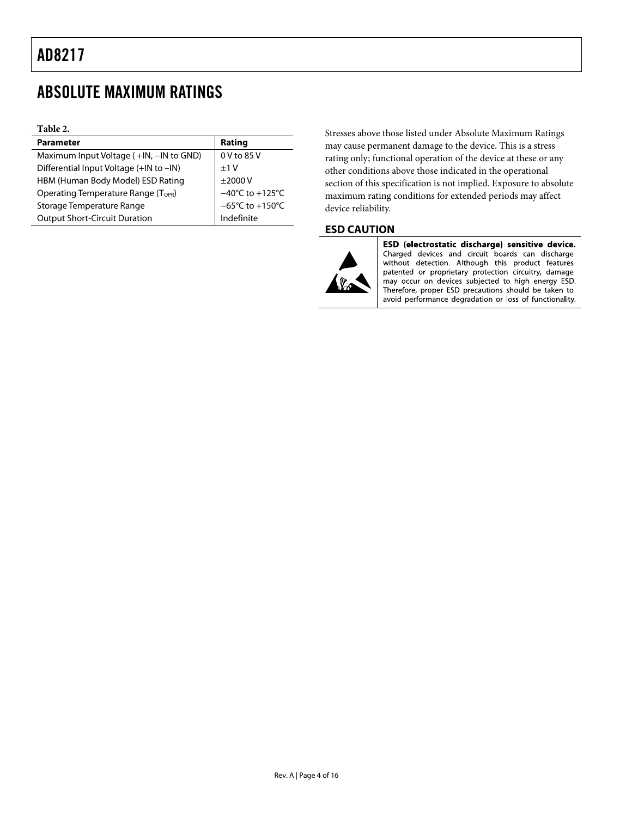### <span id="page-3-0"></span>ABSOLUTE MAXIMUM RATINGS

#### **Table 2.**

| <b>Parameter</b>                                | Rating                               |
|-------------------------------------------------|--------------------------------------|
| Maximum Input Voltage (+IN, -IN to GND)         | 0 V to 85 V                          |
| Differential Input Voltage (+IN to -IN)         | $+1V$                                |
| HBM (Human Body Model) ESD Rating               | $\pm$ 2000 V                         |
| Operating Temperature Range (T <sub>OPR</sub> ) | $-40^{\circ}$ C to $+125^{\circ}$ C  |
| Storage Temperature Range                       | $-65^{\circ}$ C to +150 $^{\circ}$ C |
| <b>Output Short-Circuit Duration</b>            | Indefinite                           |

Stresses above those listed under Absolute Maximum Ratings may cause permanent damage to the device. This is a stress rating only; functional operation of the device at these or any other conditions above those indicated in the operational section of this specification is not implied. Exposure to absolute maximum rating conditions for extended periods may affect device reliability.

#### **ESD CAUTION**



ESD (electrostatic discharge) sensitive device. Charged devices and circuit boards can discharge without detection. Although this product features patented or proprietary protection circuitry, damage may occur on devices subjected to high energy ESD. Therefore, proper ESD precautions should be taken to avoid performance degradation or loss of functionality.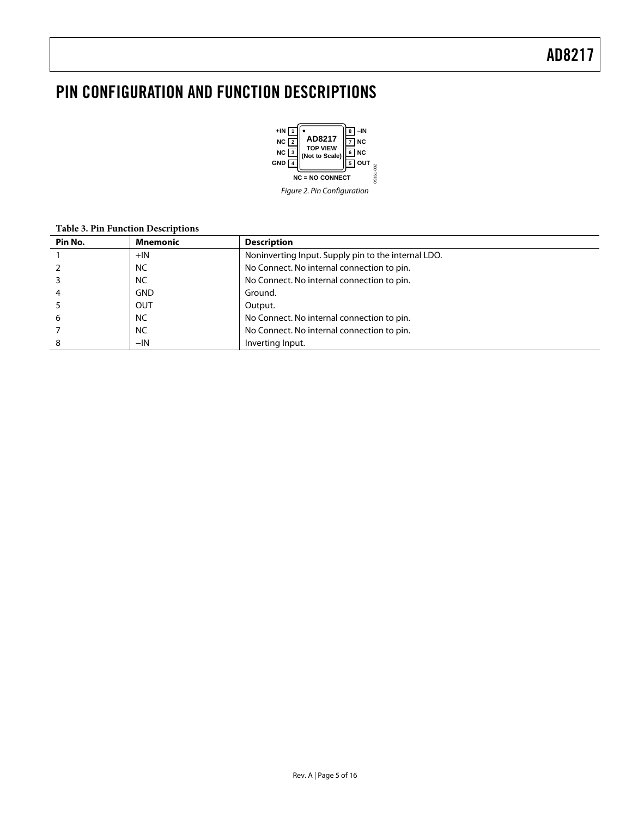### <span id="page-4-0"></span>PIN CONFIGURATION AND FUNCTION DESCRIPTIONS



Figure 2. Pin Configuration

#### **Table 3. Pin Function Descriptions**

| Pin No. | <b>Mnemonic</b> | <b>Description</b>                                  |
|---------|-----------------|-----------------------------------------------------|
|         | $+IN$           | Noninverting Input. Supply pin to the internal LDO. |
|         | <b>NC</b>       | No Connect. No internal connection to pin.          |
|         | <b>NC</b>       | No Connect. No internal connection to pin.          |
|         | <b>GND</b>      | Ground.                                             |
|         | OUT             | Output.                                             |
| b       | <b>NC</b>       | No Connect. No internal connection to pin.          |
|         | <b>NC</b>       | No Connect. No internal connection to pin.          |
|         | $-IN$           | Inverting Input.                                    |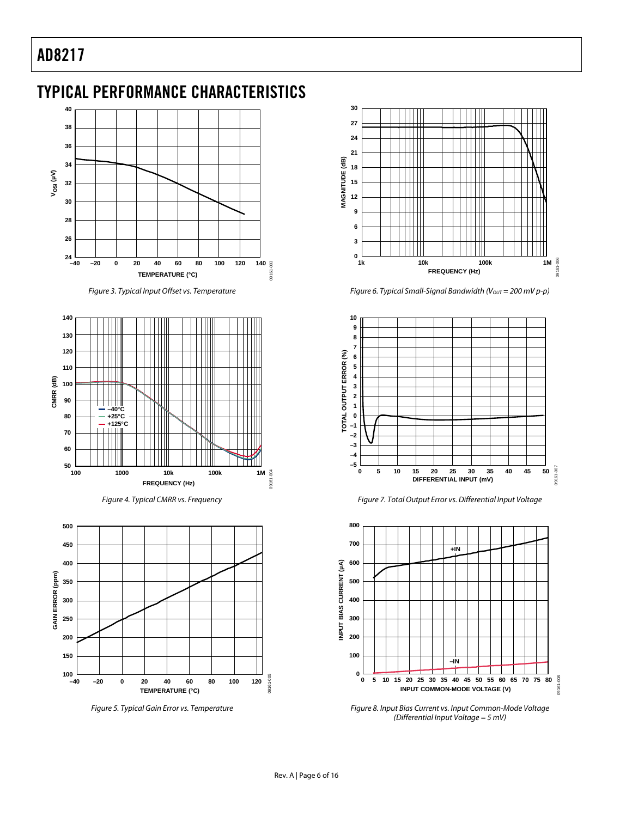## <span id="page-5-1"></span><span id="page-5-0"></span>TYPICAL PERFORMANCE CHARACTERISTICS



Figure 3. Typical Input Offset vs. Temperature



Figure 4. Typical CMRR vs. Frequency



<span id="page-5-2"></span>Figure 5. Typical Gain Error vs. Temperature



Figure 6. Typical Small-Signal Bandwidth ( $V_{OUT} = 200$  mV p-p)



Figure 7. Total Output Error vs. Differential Input Voltage



Figure 8. Input Bias Current vs. Input Common-Mode Voltage (Differential Input Voltage = 5 mV)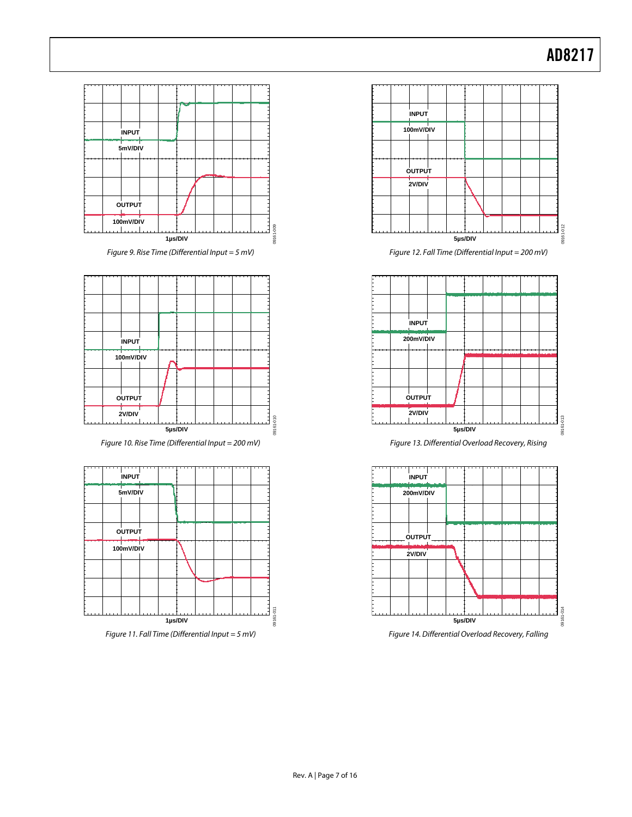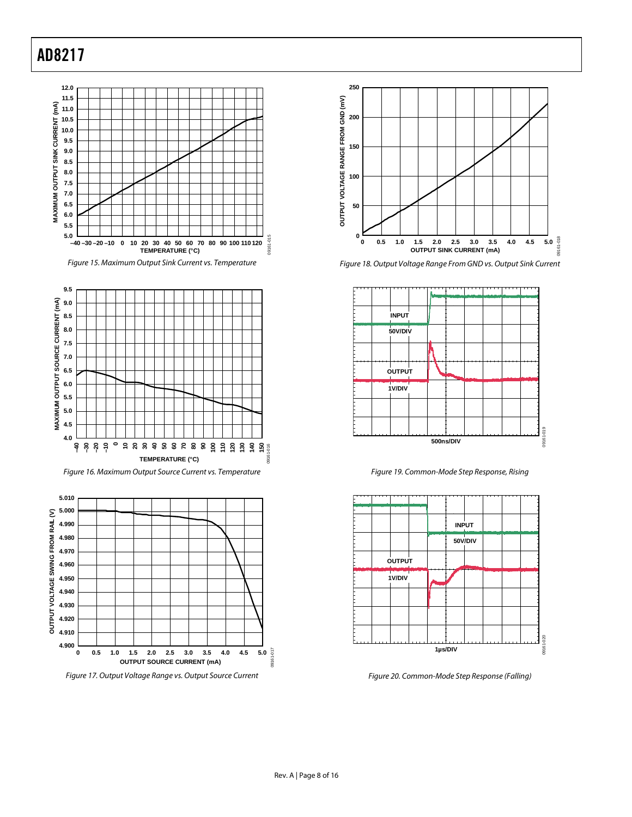<span id="page-7-0"></span>









Figure 18. Output Voltage Range From GND vs. Output Sink Current



Figure 19. Common-Mode Step Response, Rising



Figure 20. Common-Mode Step Response (Falling)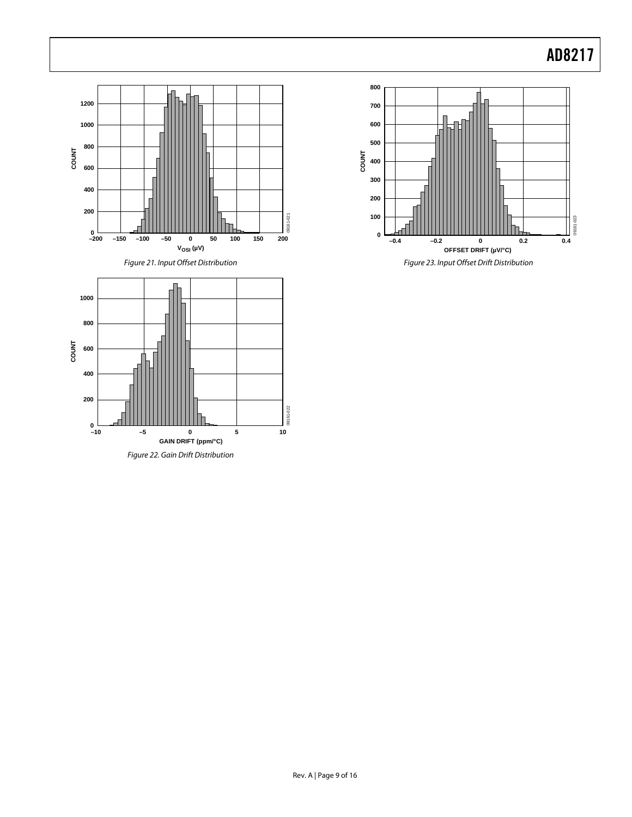

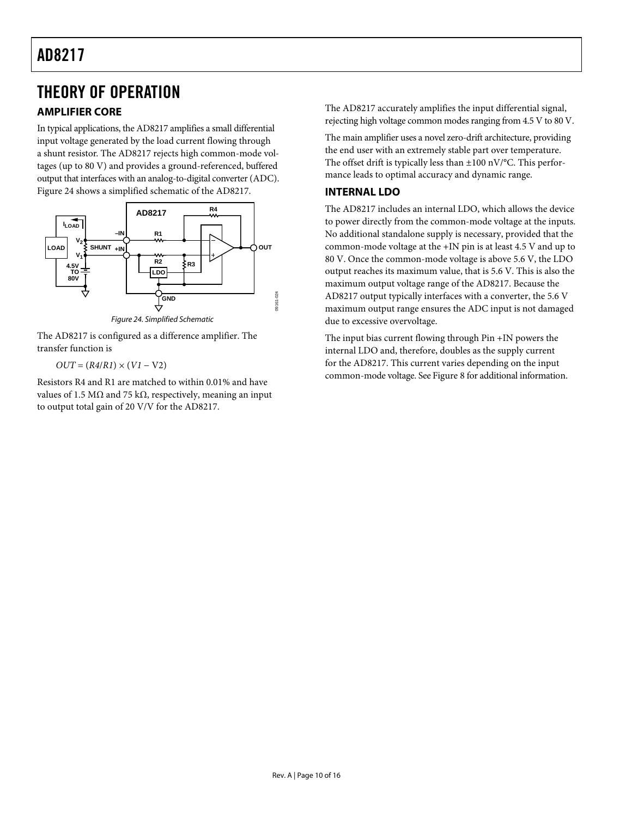### <span id="page-9-0"></span>THEORY OF OPERATION

#### **AMPLIFIER CORE**

In typical applications, the AD8217 amplifies a small differential input voltage generated by the load current flowing through a shunt resistor. The AD8217 rejects high common-mode voltages (up to 80 V) and provides a ground-referenced, buffered output that interfaces with an analog-to-digital converter (ADC). [Figure 24](#page-9-1) shows a simplified schematic of the AD8217.



Figure 24. Simplified Schematic

<span id="page-9-1"></span>The AD8217 is configured as a difference amplifier. The transfer function is

 $OUT = (R4/R1) \times (VI - V2)$ 

Resistors R4 and R1 are matched to within 0.01% and have values of 1.5 MΩ and 75 kΩ, respectively, meaning an input to output total gain of 20 V/V for the AD8217.

The AD8217 accurately amplifies the input differential signal, rejecting high voltage common modes ranging from 4.5 V to 80 V.

The main amplifier uses a novel zero-drift architecture, providing the end user with an extremely stable part over temperature. The offset drift is typically less than  $\pm 100$  nV/°C. This performance leads to optimal accuracy and dynamic range.

#### **INTERNAL LDO**

The AD8217 includes an internal LDO, which allows the device to power directly from the common-mode voltage at the inputs. No additional standalone supply is necessary, provided that the common-mode voltage at the +IN pin is at least 4.5 V and up to 80 V. Once the common-mode voltage is above 5.6 V, the LDO output reaches its maximum value, that is 5.6 V. This is also the maximum output voltage range of the AD8217. Because the AD8217 output typically interfaces with a converter, the 5.6 V maximum output range ensures the ADC input is not damaged due to excessive overvoltage.

The input bias current flowing through Pin +IN powers the internal LDO and, therefore, doubles as the supply current for the AD8217. This current varies depending on the input common-mode voltage. See [Figure 8](#page-5-2) for additional information.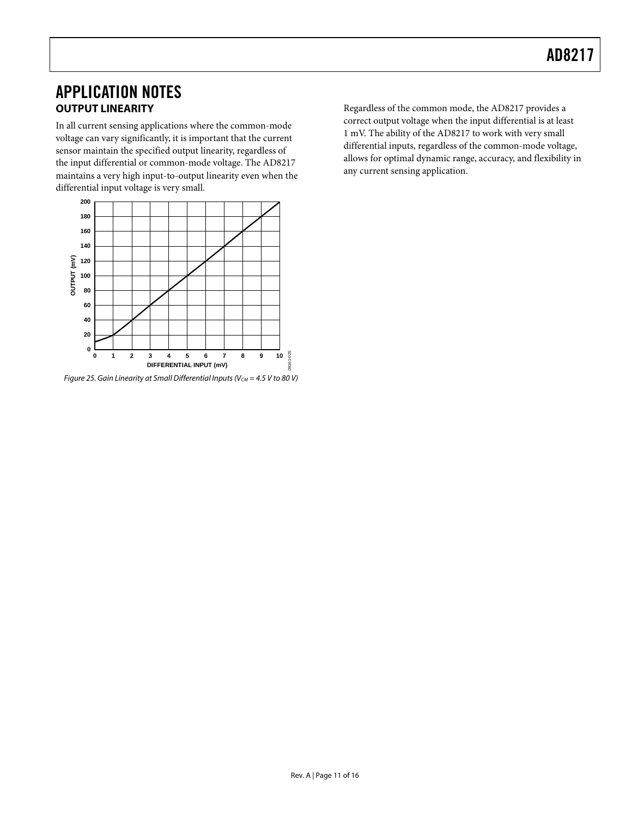### <span id="page-10-0"></span>APPLICATION NOTES **OUTPUT LINEARITY**

In all current sensing applications where the common-mode voltage can vary significantly, it is important that the current sensor maintain the specified output linearity, regardless of the input differential or common-mode voltage. The AD8217 maintains a very high input-to-output linearity even when the differential input voltage is very small.



Figure 25. Gain Linearity at Small Differential Inputs ( $V_{CM}$  = 4.5 V to 80 V)

Regardless of the common mode, the AD8217 provides a correct output voltage when the input differential is at least 1 mV. The ability of the AD8217 to work with very small differential inputs, regardless of the common-mode voltage, allows for optimal dynamic range, accuracy, and flexibility in any current sensing application.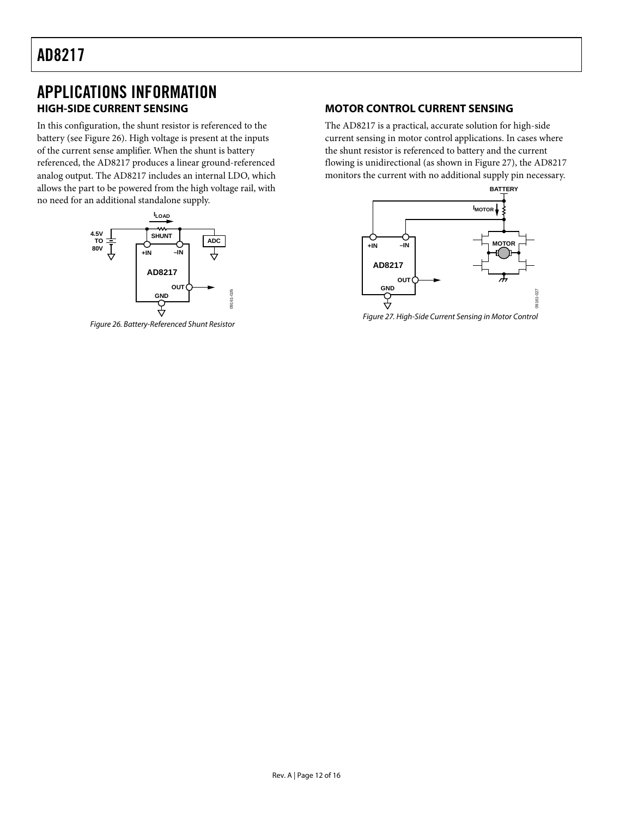### <span id="page-11-0"></span>APPLICATIONS INFORMATION **HIGH-SIDE CURRENT SENSING**

In this configuration, the shunt resistor is referenced to the battery (see [Figure 26](#page-11-1)). High voltage is present at the inputs of the current sense amplifier. When the shunt is battery referenced, the AD8217 produces a linear ground-referenced analog output. The AD8217 includes an internal LDO, which allows the part to be powered from the high voltage rail, with no need for an additional standalone supply.



<span id="page-11-2"></span><span id="page-11-1"></span>Figure 26. Battery-Referenced Shunt Resistor

#### **MOTOR CONTROL CURRENT SENSING**

The AD8217 is a practical, accurate solution for high-side current sensing in motor control applications. In cases where the shunt resistor is referenced to battery and the current flowing is unidirectional (as shown in [Figure 27\)](#page-11-2), the AD8217 monitors the current with no additional supply pin necessary.



Figure 27. High-Side Current Sensing in Motor Control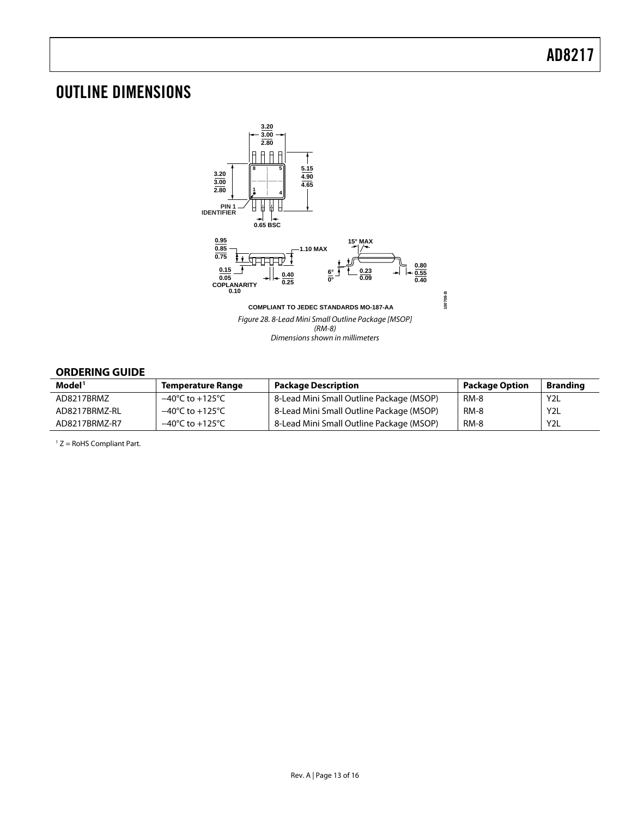### <span id="page-12-0"></span>OUTLINE DIMENSIONS



#### **ORDERING GUIDE**

| Model <sup>1</sup><br><b>Temperature Range</b> |                                     | <b>Package Description</b>               | <b>Package Option</b> | <b>Branding</b>  |  |  |  |
|------------------------------------------------|-------------------------------------|------------------------------------------|-----------------------|------------------|--|--|--|
| AD8217BRMZ                                     | $-40^{\circ}$ C to $+125^{\circ}$ C | 8-Lead Mini Small Outline Package (MSOP) | RM-8                  | Y <sub>2</sub> L |  |  |  |
| AD8217BRMZ-RL                                  | $-40^{\circ}$ C to $+125^{\circ}$ C | 8-Lead Mini Small Outline Package (MSOP) | RM-8                  | Y <sub>2</sub> L |  |  |  |
| AD8217BRMZ-R7                                  | $-40^{\circ}$ C to $+125^{\circ}$ C | 8-Lead Mini Small Outline Package (MSOP) | <b>RM-8</b>           | Y <sub>2</sub> L |  |  |  |

 $1 Z =$  RoHS Compliant Part.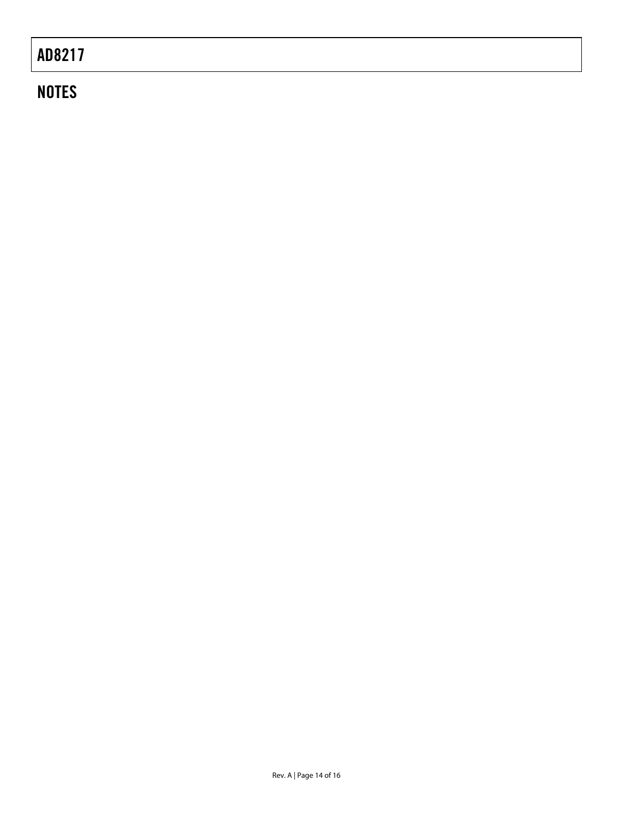### **NOTES**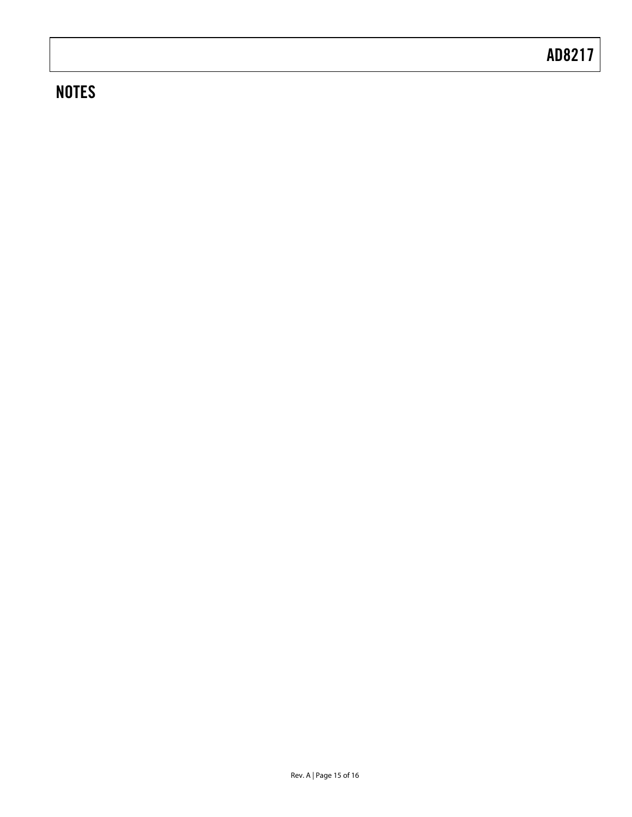### **NOTES**